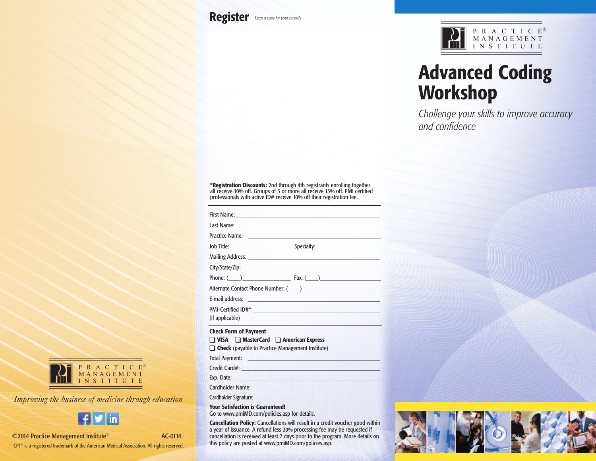**Register** *Keep <sup>a</sup> copy for your records.*



# **Advanced Coding Workshop**

*Challenge your skills to improve accuracy and confidence*

**\*Registration Discounts:** 2nd through 4th registrants enrolling together all receive 10% off. Groups of 5 or more all receive 15% off. PMI certified professionals with active ID# receive 10% off their registration fee.

|                              | First Name: <b>Executive Community</b> Contract of the Community Community Community Community                                                                                                                                       |
|------------------------------|--------------------------------------------------------------------------------------------------------------------------------------------------------------------------------------------------------------------------------------|
|                              |                                                                                                                                                                                                                                      |
|                              | Practice Name: <u>contract and the second contract of the second contract of the second contract of the second contract of the second contract of the second contract of the second contract of the second contract of the secon</u> |
|                              |                                                                                                                                                                                                                                      |
|                              |                                                                                                                                                                                                                                      |
|                              |                                                                                                                                                                                                                                      |
|                              | $Phone: (\hspace{5pt} )$ $\hspace{5pt} \textsf{Fax: } (\hspace{5pt} )$                                                                                                                                                               |
|                              | Alternate Contact Phone Number: (Comparison and Contact Phone Number: (Comparison and Contact Phone District A                                                                                                                       |
|                              | E-mail address: <u>contract and the contract of the contract of the contract of the contract of the contract of the contract of the contract of the contract of the contract of the contract of the contract of the contract of </u> |
|                              |                                                                                                                                                                                                                                      |
| (if applicable)              |                                                                                                                                                                                                                                      |
| <b>Check Form of Payment</b> |                                                                                                                                                                                                                                      |

#### q **VISA** q **MasterCard** q **American Express**

**Check** (payable to Practice Management Institute)

Total Payment:

Credit Card#: \_\_\_\_\_\_\_\_\_\_\_\_\_\_\_\_\_\_\_\_\_\_\_\_\_\_\_\_\_\_\_\_\_\_\_\_\_\_\_\_\_\_\_\_\_\_

Exp. Date:

Cardholder Name:

Cardholder Signature:

**Your Satisfaction is Guaranteed!**

Go to www.pmiMD.com/policies.asp for details.

**Cancellation Policy:** Cancellations will result in a credit voucher good within a year of issuance. A refund less 20% processing fee may be requested if cancellation is received at least 7 days prior to the program. More details on this policy are posted at www.pmiMD.com/policies.asp.





*Improving the business of medicine through education*



©2014 Practice Management Institute® AC-0114

CPT® is a registered trademark of the American Medical Association. All rights reserved.